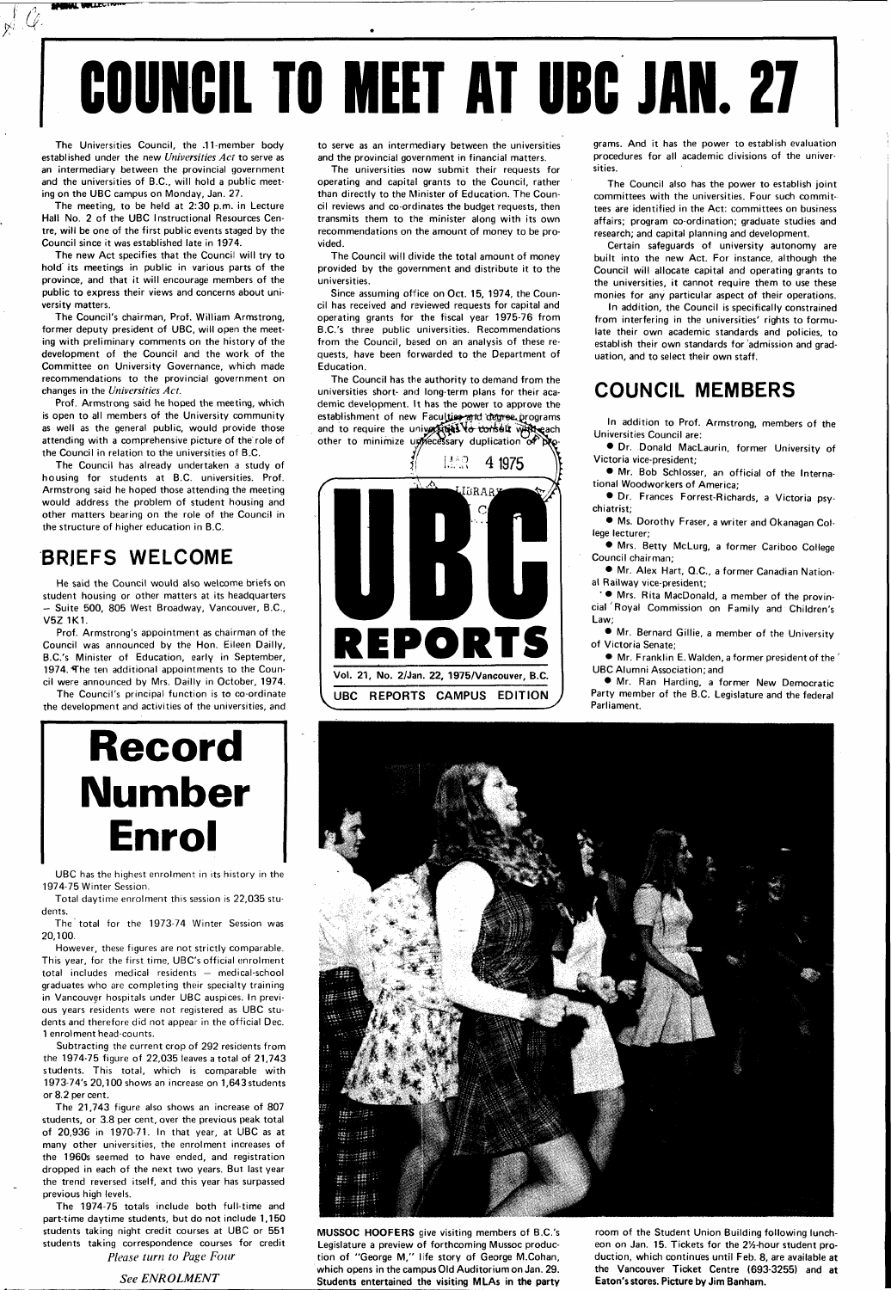**WBIWU ^** 

# **COUNCIL TO MEET AT UBC JAN. 27**

The Universities Council, the .11-member body established under the new Universities Act to serve as an intermediary between the provincial government and the universities of B.C., will hold a public meeting on the UBC campus on Monday, Jan. 27.

 $\chi^{\prime}$ 

The meeting, to be held at 2:30 p.m. in Lecture Hall No. 2 of the UBC Instructional Resources Centre, will be one of the first public events staged by the Council since it was established late in 1974.

The new Act specifies that the Council will try to hold its meetings in public in various parts of the province, and that it will encourage members of the public to express their views and concerns about university matters.

The Council's chairman, Prof. William Armstrong, former deputy president of UBC, will open the meeting with preliminary comments on the history of the development of the Council and the work of the Committee on University Governance, which made recommendations to the provincial government on changes in the Universities Act.

The total for the 1973-74 Winter Session was 20,100.

Prof. Armstrong said he hoped the meeting, which is open to all members of the University community as well as the general public, would provide those attending with a comprehensive picture of the'role of the Council in relation to the universities of B.C.

The Council has already undertaken a study of housing for students at B.C. universities. Prof. Armstrong said he hoped those attending the meeting would address the problem of student housing and other matters bearing on the role of the Council in the structure of higher education in B.C.

### **BRJEFS WELCOME**

He said the Council would also welcome briefs on student housing or other matters at its headquarters - Suite 500, 805 West Broadway, Vancouver, B.C., V5Z 1K1.

Prof. Armstrong's appointment as chairman of the Council was announced by the Hon. Eileen Dailly, B.C.'s Minister of Education, early in September, 1974. The ten additional appointments to the Council were announced by Mrs. Dailly in October, 1974.

The Council's principal function is to co-ordinate the development and activities of the universities, and

## **Record Number Enrol**

UBC has the highest enrolment in its history in the 1974-75 Winter Session.

The Council has the authority to demand from the universities short- and long-term plans for their academic development. It has the power to approve the establishment of new Faculties and degree programs and to require the universities to conselt with each other to minimize unhecessary duplication of  $\beta$ 

Total daytime enrolment this session is 22,035 students.

However, these figures are not strictly comparable. This year, for the first time, UBC's official enrolment total includes medical residents — medical-school graduates who are completing their specialty training in Vancouver hospitals under UBC auspices. In previous years residents were not registered as UBC students and therefore did not appear in the official Dec. 1 enrolment head-counts. Subtracting the current crop of 292 residents from the 1974-75 figure of 22,035 leaves a total of 21,743 students. This total, which is comparable with 1973-74's 20,100 shows an increase on 1,643 students or 8.2 per cent. The 21,743 figure also shows an increase of 807 students, or 3.8 per cent, over the previous peak total of 20,936 in 1970-71. In that year, at UBC as at many other universities, the enrolment increases of the 1960s seemed to have ended, and registration dropped in each of the next two years. But last year the trend reversed itself, and this year has surpassed previous high levels.

• Mrs. Rita MacDonald, a member of the provincial'Royal Commission on Family and Children's Law;

The 1974-75 totals include both full-time and part-time daytime students, but do not include 1,150 students taking night credit courses at UBC or 551 students taking correspondence courses for credit *Please turn to Page Four* 

*See ENROLMENT* 

to serve as an intermediary between the universities and the provincial government in financial matters.

The universities now submit their requests for operating and capital grants to the Council, rather than directly to the Minister of Education. The Council reviews and co-ordinates the budget requests, then transmits them to the minister along with its own recommendations on the amount of money to be provided.

The Council will divide the total amount of money provided by the government and distribute it to the universities.

Since assuming office on Oct. 15, 1974, the Council has received and reviewed requests for capital and operating grants for the fiscal year 1975-76 from B.C.'s three public universities. Recommendations from the Council, based on an analysis of these requests, have been forwarded to the Department of Education.



grams. And it has the power to establish evaluation procedures for all academic divisions of the universities.

The Council also has the power to establish joint committees with the universities. Four such committees are identified in the Act: committees on business affairs; program co-ordination; graduate studies and research; and capital planning and development.

Certain safeguards of university autonomy are built into the new Act. For instance, although the Council will allocate capital and operating grants to the universities, it cannot require them to use these monies for any particular aspect of their operations.

In addition, the Council is specifically constrained from interfering in the universities' rights to formulate their own academic standards and policies, to establish their own standards for admission and graduation, and to select their own staff.

### **COUNCIL MEMBERS**

In addition to Prof. Armstrong, members of the Universities Council are:

• Dr. Donald MacLaurin, former University of Victoria vice-president;

• Mr. Bob Schlosser, an official of the International Woodworkers of America;

• Dr. Frances Forrest-Richards, a Victoria psychiatrist;

• Ms. Dorothy Fraser, a writer and Okanagan College lecturer;

• Mrs. Betty McLurg, a former Cariboo College Council chairman;

• Mr. Alex Hart, Q.C., a former Canadian National Railway vice-president;

• Mr. Bernard Gillie, a member of the University of Victoria Senate;

• Mr. Franklin E. Walden, a former president of the ' UBC Alumni Association; and

• Mr. Ran Harding, a former New Democratic Party member of the B.C. Legislature and the federal Parliament.



**MUSSOC HOOFERS** give visiting members of B.C.'s Legislature a preview of forthcoming Mussoc production of "George M," life story of George M.Cohan, which opens in the campus Old Auditorium on Jan. 29. **Students entertained the visiting MLAs in the party**  room of the Student Union Building following luncheon on Jan. 15. Tickets for the 2%-hour student production, which continues until Feb. 8, are available at the Vancouver Ticket Centre (693-3255) and **at Eaton's stores. Picture by Jim Banham.**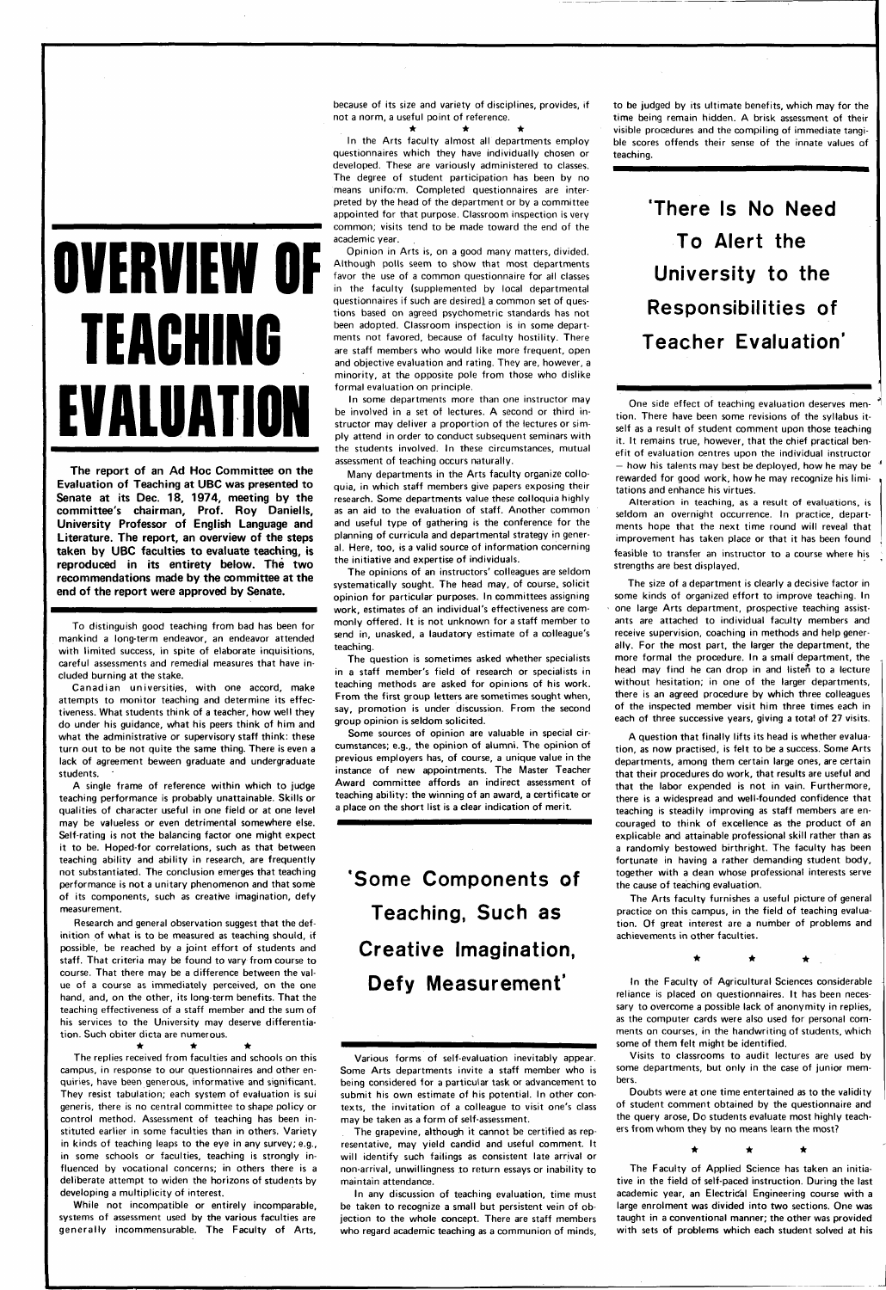# **OVERVIEW OF TEACHING EVALUATION**

**The report of an Ad Hoc Committee on the Evaluation of Teaching at UBC was presented to Senate at its Dec. 18, 1974, meeting by the committee's chairman. Prof. Roy Daniells, University Professor of English Language and Literature. The report, an overview of the steps taken by UBC faculties to evaluate teaching, is reproduced in its entirety below. The two recommendations made by the committee at the end of the report were approved by Senate.** 

To distinguish good teaching from bad has been for mankind a long-term endeavor, an endeavor attended with limited success, in spite of elaborate inquisitions, careful assessments and remedial measures that have included burning at the stake.

Canadian universities, with one accord, make attempts to monitor teaching and determine its effectiveness. What students think of a teacher, how well they do under his guidance, what his peers think of him and what the administrative or supervisory staff think: these turn out to be not quite the same thing. There is even a lack of agreement beween graduate and undergraduate students.

A single frame of reference within which to judge teaching performance is probably unattainable. Skills or qualities of character useful in one field or at one level may be valueless or even detrimental somewhere else. Self-rating is not the balancing factor one might expect it to be. Hoped-for correlations, such as that between teaching ability and ability in research, are frequently not substantiated. The conclusion emerges that teaching performance is not a unitary phenomenon and that some of its components, such as creative imagination, defy measurement.

While not incompatible or entirely incomparable, systems of assessment used by the various faculties are generally incommensurable. The Faculty of Arts,

 $\star$   $\star$   $\star$ In the Arts faculty almost all departments employ questionnaires which they have individually chosen or developed. These are variously administered to classes. The degree of student participation has been by no means uniform. Completed questionnaires are interpreted by the head of the department or by a committee appointed for that purpose. Classroom inspection is very common; visits tend to be made toward the end of the academic year.

Research and general observation suggest that the definition of what is to be measured as teaching should, if possible, be reached by a joint effort of students and staff. That criteria may be found to vary from course to course. That there may be a difference between the value of a course as immediately perceived, on the one hand, and, on the other, its long-term benefits. That the teaching effectiveness of a staff member and the sum of his services to the University may deserve differentiation. Such obiter dicta are numerous. • • \* The replies received from faculties and schools on this campus, in response to our questionnaires and other enquiries, have been generous, informative and significant. They resist tabulation; each system of evaluation is sui generis, there is no central committee to shape policy or control method. Assessment of teaching has been instituted earlier in some faculties than in others. Variety in kinds of teaching leaps to the eye in any survey; e.g., in some schools or faculties, teaching is strongly influenced by vocational concerns; in others there is a deliberate attempt to widen the horizons of students by developing a multiplicity of interest.

because of its size and variety of disciplines, provides, if not a norm, a useful point of reference.

Opinion in Arts is, on a good many matters, divided. Although polls seem to show that most departments favor the use of a common questionnaire for all classes in the faculty (supplemented by local departmental questionnaires if such are desired), a common set of questions based on agreed psychometric standards has not been adopted. Classroom inspection is in some departments not favored, because of faculty hostility. There are staff members who would like more frequent, open and objective evaluation and rating. They are, however, a minority, at the opposite pole from those who dislike formal evaluation on principle.

In some departments more than one instructor may be involved in a set of lectures. A second or third instructor may deliver a proportion of the lectures or simply attend in order to conduct subsequent seminars with the students involved. In these circumstances, mutual assessment of teaching occurs naturally.

Many departments in the Arts faculty organize colloquia, in which staff members give papers exposing their research. Some departments value these colloquia highly as an aid to the evaluation of staff. Another common and useful type of gathering is the conference for the planning of curricula and departmental strategy in general. Here, too, is a valid source of information concerning the initiative and expertise of individuals.

The opinions of an instructors' colleagues are seldom systematically sought. The head may, of course, solicit opinion for particular purposes. In committees assigning work, estimates of an individual's effectiveness are commonly offered. It is not unknown for a staff member to send in, unasked, a laudatory estimate of a colleague's teaching.

The question is sometimes asked whether specialists in a staff member's field of research or specialists in teaching methods are asked for opinions of his work. From the first group letters are sometimes sought when, say, promotion is under discussion. From the second group opinion is seldom solicited.

Some sources of opinion are valuable in special circumstances; e.g., the opinion of alumni. The opinion of previous employers has, of course, a unique value in the instance of new appointments. The Master Teacher Award committee affords an indirect assessment of teaching ability: the winning of an award, a certificate or a place on the short list is a clear indication of merit.

**'Some Components of Teaching, Such as Creative Imagination, Defy Measurement'** 

Various forms of self-evaluation inevitably appear. Some Arts departments invite a staff member who is being considered for a particular task or advancement to submit his own estimate of his potential. In other contexts, the invitation of a colleague to visit one's class may be taken as a form of self-assessment.

The grapevine, although it cannot be certified as representative, may yield candid and useful comment. It will identify such failings as consistent late arrival or non-arrival, unwillingness to return essays or inability to maintain attendance.

In any discussion of teaching evaluation, time must be taken to recognize a small but persistent vein of objection to the whole concept. There are staff members who regard academic teaching as a communion of minds.

to be judged by its ultimate benefits, which may for the time being remain hidden. A brisk assessment of their visible procedures and the compiling of immediate tangible scores offends their sense of the innate values of teaching.

> **'There Is No Need To Alert the University to the Responsibilities of Teacher Evaluation'**

One side effect of teaching evaluation deserves mention. There have been some revisions of the syllabus itself as a result of student comment upon those teaching it. It remains true, however, that the chief practical benefit of evaluation centres upon the individual instructor — how his talents may best be deployed, how he may be rewarded for good work, how he may recognize his limitations and enhance his virtues.

Alteration in teaching, as a result of evaluations, is seldom an overnight occurrence. In practice, departments hope that the next time round will reveal that improvement has taken place or that it has been found feasible to transfer an instructor to a course where his strengths are best displayed.

The size of a department is clearly a decisive factor in some kinds of organized effort to improve teaching. In one large Arts department, prospective teaching assistants are attached to individual faculty members and receive supervision, coaching in methods and help generally. For the most part, the larger the department, the more formal the procedure. In a small department, the head may find he can drop in and listen to a lecture without hesitation; in one of the larger departments, there is an agreed procedure by which three colleagues of the inspected member visit him three times each in each of three successive years, giving a total of 27 visits.

A question that finally lifts its head is whether evaluation, as now practised, is felt to be a success. Some Arts departments, among them certain large ones, are certain that their procedures do work, that results are useful and that the labor expended is not in vain. Furthermore, there is a widespread and well-founded confidence that teaching is steadily improving as staff members are encouraged to think of excellence as the product of an explicable and attainable professional skill rather than as a randomly bestowed birthright. The faculty has been fortunate in having a rather demanding student body, together with a dean whose professional interests serve the cause of teaching evaluation.

The Arts faculty furnishes a useful picture of general practice on this campus, in the field of teaching evaluation. Of great interest are a number of problems and achievements in other faculties.

In the Faculty of Agricultural Sciences considerable reliance is placed on questionnaires. It has been necessary to overcome a possible lack of anonymity in replies, as the computer cards were also used for personal comments on courses, in the handwriting of students, which some of them felt might be identified.

Visits to classrooms to audit lectures are used by some departments, but only in the case of junior members.

Doubts were at one time entertained as to the validity of student comment obtained by the questionnaire and the query arose. Do students evaluate most highly teachers from whom they by no means learn the most?

> $\star$ ★

The Faculty of Applied Science has taken an initiative in the field of self-paced instruction. During the last academic year, an Electrical Engineering course with a large enrolment was divided into two sections. One was taught in a conventional manner; the other was provided with sets of problems which each student solved at his